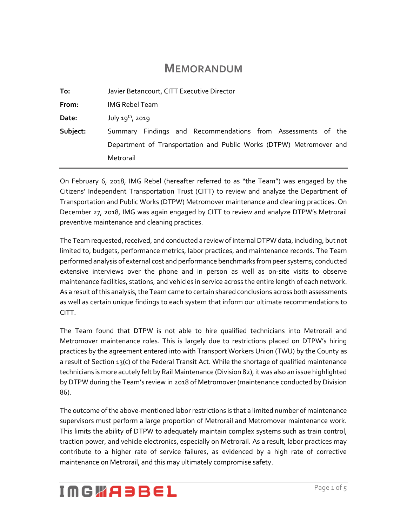### **MEMORANDUM**

| To:      | Javier Betancourt, CITT Executive Director                          |
|----------|---------------------------------------------------------------------|
| From:    | <b>IMG Rebel Team</b>                                               |
| Date:    | July $19^{th}$ , 2019                                               |
| Subject: | Summary Findings and Recommendations from Assessments of the        |
|          | Department of Transportation and Public Works (DTPW) Metromover and |
|          | Metrorail                                                           |
|          |                                                                     |

On February 6, 2018, IMG Rebel (hereafter referred to as "the Team") was engaged by the Citizens' Independent Transportation Trust (CITT) to review and analyze the Department of Transportation and Public Works (DTPW) Metromover maintenance and cleaning practices. On December 27, 2018, IMG was again engaged by CITT to review and analyze DTPW's Metrorail preventive maintenance and cleaning practices.

The Team requested, received, and conducted a review of internal DTPW data, including, but not limited to, budgets, performance metrics, labor practices, and maintenance records. The Team performed analysis of external cost and performance benchmarks from peer systems; conducted extensive interviews over the phone and in person as well as on-site visits to observe maintenance facilities, stations, and vehicles in service across the entire length of each network. As a result of this analysis, the Team came to certain shared conclusions across both assessments as well as certain unique findings to each system that inform our ultimate recommendations to CITT.

The Team found that DTPW is not able to hire qualified technicians into Metrorail and Metromover maintenance roles. This is largely due to restrictions placed on DTPW's hiring practices by the agreement entered into with Transport Workers Union (TWU) by the County as a result of Section 13(c) of the Federal Transit Act. While the shortage of qualified maintenance technicians is more acutely felt by Rail Maintenance (Division 82), it was also an issue highlighted by DTPW during the Team's review in 2018 of Metromover (maintenance conducted by Division 86).

The outcome of the above-mentioned labor restrictions is that a limited number of maintenance supervisors must perform a large proportion of Metrorail and Metromover maintenance work. This limits the ability of DTPW to adequately maintain complex systems such as train control, traction power, and vehicle electronics, especially on Metrorail. As a result, labor practices may contribute to a higher rate of service failures, as evidenced by a high rate of corrective maintenance on Metrorail, and this may ultimately compromise safety.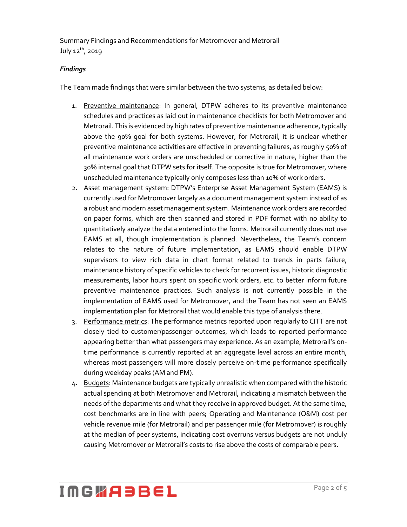#### *Findings*

The Team made findings that were similar between the two systems, as detailed below:

- 1. Preventive maintenance: In general, DTPW adheres to its preventive maintenance schedules and practices as laid out in maintenance checklists for both Metromover and Metrorail. This is evidenced by high rates of preventive maintenance adherence, typically above the 90% goal for both systems. However, for Metrorail, it is unclear whether preventive maintenance activities are effective in preventing failures, as roughly 50% of all maintenance work orders are unscheduled or corrective in nature, higher than the 30% internal goal that DTPW sets for itself. The opposite is true for Metromover, where unscheduled maintenance typically only composes less than 10% of work orders.
- 2. Asset management system: DTPW's Enterprise Asset Management System (EAMS) is currently used for Metromover largely as a document management system instead of as a robust and modern asset management system. Maintenance work orders are recorded on paper forms, which are then scanned and stored in PDF format with no ability to quantitatively analyze the data entered into the forms. Metrorail currently does not use EAMS at all, though implementation is planned. Nevertheless, the Team's concern relates to the nature of future implementation, as EAMS should enable DTPW supervisors to view rich data in chart format related to trends in parts failure, maintenance history of specific vehicles to check for recurrent issues, historic diagnostic measurements, labor hours spent on specific work orders, etc. to better inform future preventive maintenance practices. Such analysis is not currently possible in the implementation of EAMS used for Metromover, and the Team has not seen an EAMS implementation plan for Metrorail that would enable this type of analysis there.
- 3. Performance metrics: The performance metrics reported upon regularly to CITT are not closely tied to customer/passenger outcomes, which leads to reported performance appearing better than what passengers may experience. As an example, Metrorail's ontime performance is currently reported at an aggregate level across an entire month, whereas most passengers will more closely perceive on-time performance specifically during weekday peaks (AM and PM).
- 4. Budgets: Maintenance budgets are typically unrealistic when compared with the historic actual spending at both Metromover and Metrorail, indicating a mismatch between the needs of the departments and what they receive in approved budget. At the same time, cost benchmarks are in line with peers; Operating and Maintenance (O&M) cost per vehicle revenue mile (for Metrorail) and per passenger mile (for Metromover) is roughly at the median of peer systems, indicating cost overruns versus budgets are not unduly causing Metromover or Metrorail's costs to rise above the costs of comparable peers.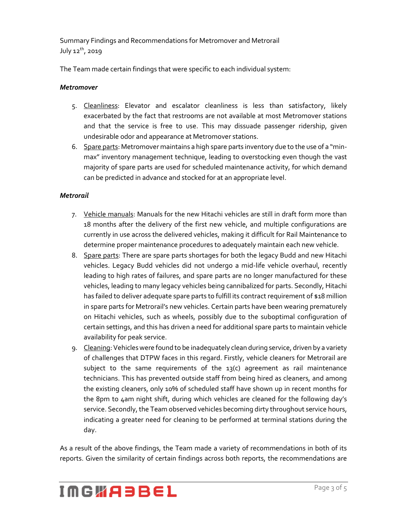The Team made certain findings that were specific to each individual system:

#### *Metromover*

- 5. Cleanliness: Elevator and escalator cleanliness is less than satisfactory, likely exacerbated by the fact that restrooms are not available at most Metromover stations and that the service is free to use. This may dissuade passenger ridership, given undesirable odor and appearance at Metromover stations.
- 6. Spare parts: Metromover maintains a high spare parts inventory due to the use of a "minmax" inventory management technique, leading to overstocking even though the vast majority of spare parts are used for scheduled maintenance activity, for which demand can be predicted in advance and stocked for at an appropriate level.

#### *Metrorail*

- 7. Vehicle manuals: Manuals for the new Hitachi vehicles are still in draft form more than 18 months after the delivery of the first new vehicle, and multiple configurations are currently in use across the delivered vehicles, making it difficult for Rail Maintenance to determine proper maintenance procedures to adequately maintain each new vehicle.
- 8. Spare parts: There are spare parts shortages for both the legacy Budd and new Hitachi vehicles. Legacy Budd vehicles did not undergo a mid-life vehicle overhaul, recently leading to high rates of failures, and spare parts are no longer manufactured for these vehicles, leading to many legacy vehicles being cannibalized for parts. Secondly, Hitachi has failed to deliver adequate spare parts to fulfill its contract requirement of \$18 million in spare parts for Metrorail's new vehicles. Certain parts have been wearing prematurely on Hitachi vehicles, such as wheels, possibly due to the suboptimal configuration of certain settings, and this has driven a need for additional spare parts to maintain vehicle availability for peak service.
- 9. Cleaning: Vehicles were found to be inadequately clean during service, driven by a variety of challenges that DTPW faces in this regard. Firstly, vehicle cleaners for Metrorail are subject to the same requirements of the  $13(c)$  agreement as rail maintenance technicians. This has prevented outside staff from being hired as cleaners, and among the existing cleaners, only 10% of scheduled staff have shown up in recent months for the 8pm to 4am night shift, during which vehicles are cleaned for the following day's service. Secondly, the Team observed vehicles becoming dirty throughout service hours, indicating a greater need for cleaning to be performed at terminal stations during the day.

As a result of the above findings, the Team made a variety of recommendations in both of its reports. Given the similarity of certain findings across both reports, the recommendations are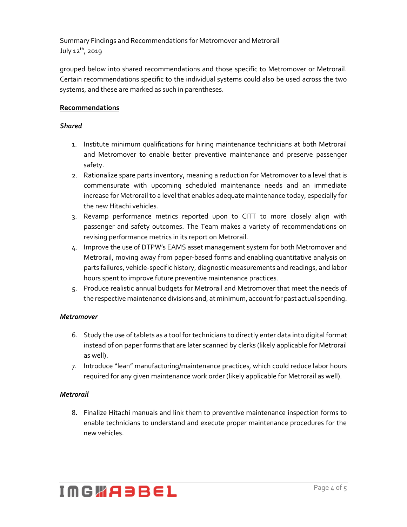grouped below into shared recommendations and those specific to Metromover or Metrorail. Certain recommendations specific to the individual systems could also be used across the two systems, and these are marked as such in parentheses.

### **Recommendations**

#### *Shared*

- 1. Institute minimum qualifications for hiring maintenance technicians at both Metrorail and Metromover to enable better preventive maintenance and preserve passenger safety.
- 2. Rationalize spare parts inventory, meaning a reduction for Metromover to a level that is commensurate with upcoming scheduled maintenance needs and an immediate increase for Metrorail to a level that enables adequate maintenance today, especially for the new Hitachi vehicles.
- 3. Revamp performance metrics reported upon to CITT to more closely align with passenger and safety outcomes. The Team makes a variety of recommendations on revising performance metrics in its report on Metrorail.
- 4. Improve the use of DTPW's EAMS asset management system for both Metromover and Metrorail, moving away from paper-based forms and enabling quantitative analysis on parts failures, vehicle-specific history, diagnostic measurements and readings, and labor hours spent to improve future preventive maintenance practices.
- 5. Produce realistic annual budgets for Metrorail and Metromover that meet the needs of the respective maintenance divisions and, at minimum, account for past actual spending.

### *Metromover*

- 6. Study the use of tablets as a tool for technicians to directly enter data into digital format instead of on paper forms that are later scanned by clerks (likely applicable for Metrorail as well).
- 7. Introduce "lean" manufacturing/maintenance practices, which could reduce labor hours required for any given maintenance work order (likely applicable for Metrorail as well).

### *Metrorail*

8. Finalize Hitachi manuals and link them to preventive maintenance inspection forms to enable technicians to understand and execute proper maintenance procedures for the new vehicles.